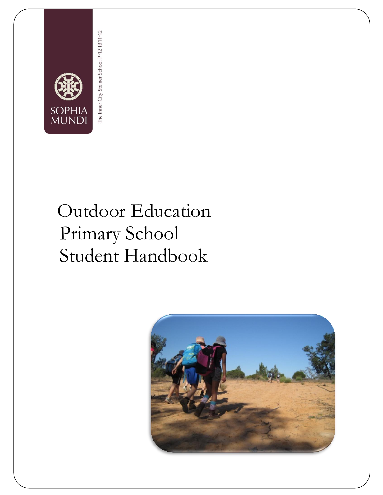

# The Inner City Steiner School P-12 IB11-12

# Outdoor Education Primary School Student Handbook

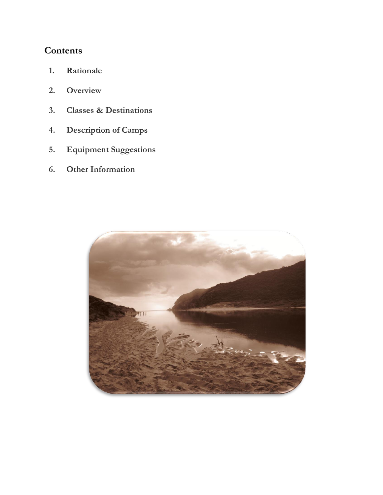# **Contents**

- **1. Rationale**
- **2. Overview**
- **3. Classes & Destinations**
- **4. Description of Camps**
- **5. Equipment Suggestions**
- **6. Other Information**

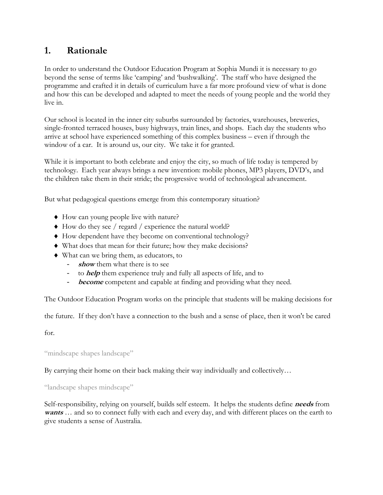# **1. Rationale**

In order to understand the Outdoor Education Program at Sophia Mundi it is necessary to go beyond the sense of terms like 'camping' and 'bushwalking'. The staff who have designed the programme and crafted it in details of curriculum have a far more profound view of what is done and how this can be developed and adapted to meet the needs of young people and the world they live in.

Our school is located in the inner city suburbs surrounded by factories, warehouses, breweries, single-fronted terraced houses, busy highways, train lines, and shops. Each day the students who arrive at school have experienced something of this complex business – even if through the window of a car. It is around us, our city. We take it for granted.

While it is important to both celebrate and enjoy the city, so much of life today is tempered by technology. Each year always brings a new invention: mobile phones, MP3 players, DVD's, and the children take them in their stride; the progressive world of technological advancement.

But what pedagogical questions emerge from this contemporary situation?

- How can young people live with nature?
- $\blacklozenge$  How do they see / regard / experience the natural world?
- How dependent have they become on conventional technology?
- What does that mean for their future; how they make decisions?
- What can we bring them, as educators, to
	- **show** them what there is to see
	- to *help* them experience truly and fully all aspects of life, and to
	- become competent and capable at finding and providing what they need.

The Outdoor Education Program works on the principle that students will be making decisions for

the future. If they don't have a connection to the bush and a sense of place, then it won't be cared

for.

"mindscape shapes landscape"

By carrying their home on their back making their way individually and collectively…

"landscape shapes mindscape"

Self-responsibility, relying on yourself, builds self esteem. It helps the students define **needs** from **wants** … and so to connect fully with each and every day, and with different places on the earth to give students a sense of Australia.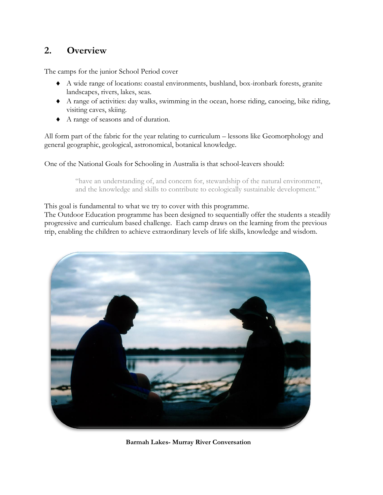# **2. Overview**

The camps for the junior School Period cover

- A wide range of locations: coastal environments, bushland, box-ironbark forests, granite landscapes, rivers, lakes, seas.
- A range of activities: day walks, swimming in the ocean, horse riding, canoeing, bike riding, visiting caves, skiing.
- A range of seasons and of duration.

All form part of the fabric for the year relating to curriculum – lessons like Geomorphology and general geographic, geological, astronomical, botanical knowledge.

One of the National Goals for Schooling in Australia is that school-leavers should:

"have an understanding of, and concern for, stewardship of the natural environment, and the knowledge and skills to contribute to ecologically sustainable development."

This goal is fundamental to what we try to cover with this programme.

The Outdoor Education programme has been designed to sequentially offer the students a steadily progressive and curriculum based challenge. Each camp draws on the learning from the previous trip, enabling the children to achieve extraordinary levels of life skills, knowledge and wisdom.



**Barmah Lakes- Murray River Conversation**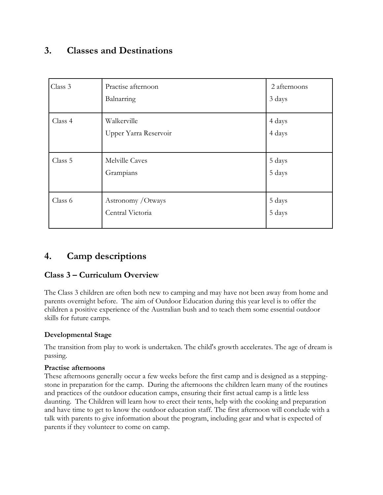# **3. Classes and Destinations**

| Class 3 | Practise afternoon<br>Balnarring       | 2 afternoons<br>3 days |
|---------|----------------------------------------|------------------------|
| Class 4 | Walkerville<br>Upper Yarra Reservoir   | 4 days<br>4 days       |
| Class 5 | Melville Caves<br>Grampians            | 5 days<br>5 days       |
| Class 6 | Astronomy / Otways<br>Central Victoria | 5 days<br>5 days       |

# **4. Camp descriptions**

#### **Class 3 – Curriculum Overview**

The Class 3 children are often both new to camping and may have not been away from home and parents overnight before. The aim of Outdoor Education during this year level is to offer the children a positive experience of the Australian bush and to teach them some essential outdoor skills for future camps.

#### **Developmental Stage**

The transition from play to work is undertaken. The child's growth accelerates. The age of dream is passing.

#### **Practise afternoons**

These afternoons generally occur a few weeks before the first camp and is designed as a steppingstone in preparation for the camp. During the afternoons the children learn many of the routines and practices of the outdoor education camps, ensuring their first actual camp is a little less daunting. The Children will learn how to erect their tents, help with the cooking and preparation and have time to get to know the outdoor education staff. The first afternoon will conclude with a talk with parents to give information about the program, including gear and what is expected of parents if they volunteer to come on camp.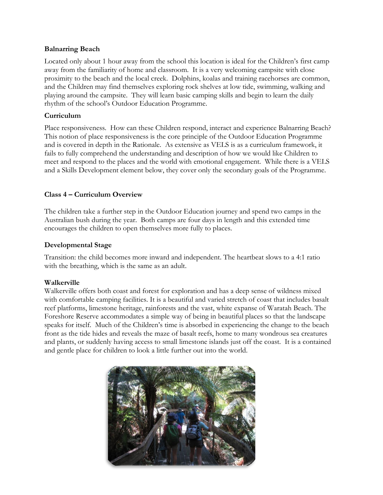#### **Balnarring Beach**

Located only about 1 hour away from the school this location is ideal for the Children's first camp away from the familiarity of home and classroom. It is a very welcoming campsite with close proximity to the beach and the local creek. Dolphins, koalas and training racehorses are common, and the Children may find themselves exploring rock shelves at low tide, swimming, walking and playing around the campsite. They will learn basic camping skills and begin to learn the daily rhythm of the school's Outdoor Education Programme.

#### **Curriculum**

Place responsiveness. How can these Children respond, interact and experience Balnarring Beach? This notion of place responsiveness is the core principle of the Outdoor Education Programme and is covered in depth in the Rationale. As extensive as VELS is as a curriculum framework, it fails to fully comprehend the understanding and description of how we would like Children to meet and respond to the places and the world with emotional engagement. While there is a VELS and a Skills Development element below, they cover only the secondary goals of the Programme.

#### **Class 4 – Curriculum Overview**

The children take a further step in the Outdoor Education journey and spend two camps in the Australian bush during the year. Both camps are four days in length and this extended time encourages the children to open themselves more fully to places.

#### **Developmental Stage**

Transition: the child becomes more inward and independent. The heartbeat slows to a 4:1 ratio with the breathing, which is the same as an adult.

#### **Walkerville**

Walkerville offers both coast and forest for exploration and has a deep sense of wildness mixed with comfortable camping facilities. It is a beautiful and varied stretch of coast that includes basalt reef platforms, limestone heritage, rainforests and the vast, white expanse of Waratah Beach. The Foreshore Reserve accommodates a simple way of being in beautiful places so that the landscape speaks for itself. Much of the Children's time is absorbed in experiencing the change to the beach front as the tide hides and reveals the maze of basalt reefs, home to many wondrous sea creatures and plants, or suddenly having access to small limestone islands just off the coast. It is a contained and gentle place for children to look a little further out into the world.

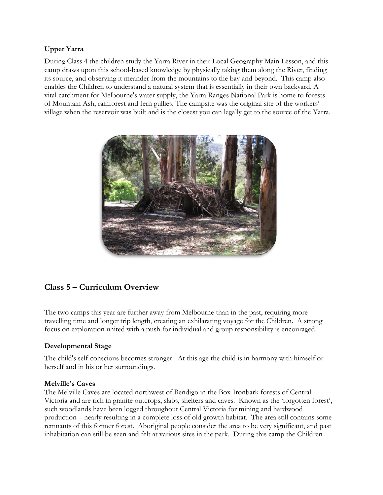#### **Upper Yarra**

During Class 4 the children study the Yarra River in their Local Geography Main Lesson, and this camp draws upon this school-based knowledge by physically taking them along the River, finding its source, and observing it meander from the mountains to the bay and beyond. This camp also enables the Children to understand a natural system that is essentially in their own backyard. A vital catchment for Melbourne's water supply, the Yarra Ranges National Park is home to forests of Mountain Ash, rainforest and fern gullies. The campsite was the original site of the workers' village when the reservoir was built and is the closest you can legally get to the source of the Yarra.



#### **Class 5 – Curriculum Overview**

The two camps this year are further away from Melbourne than in the past, requiring more travelling time and longer trip length, creating an exhilarating voyage for the Children. A strong focus on exploration united with a push for individual and group responsibility is encouraged.

#### **Developmental Stage**

The child's self-conscious becomes stronger. At this age the child is in harmony with himself or herself and in his or her surroundings.

#### **Melville's Caves**

The Melville Caves are located northwest of Bendigo in the Box-Ironbark forests of Central Victoria and are rich in granite outcrops, slabs, shelters and caves. Known as the 'forgotten forest', such woodlands have been logged throughout Central Victoria for mining and hardwood production – nearly resulting in a complete loss of old growth habitat. The area still contains some remnants of this former forest. Aboriginal people consider the area to be very significant, and past inhabitation can still be seen and felt at various sites in the park. During this camp the Children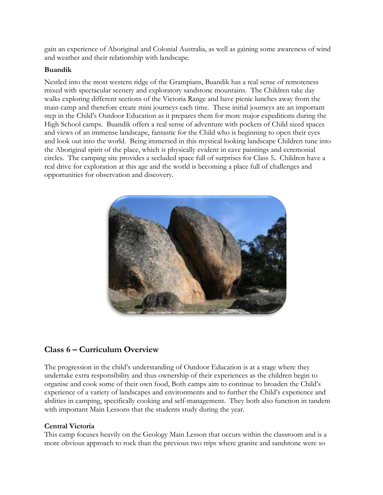gain an experience of Aboriginal and Colonial Australia, as well as gaining some awareness of wind and weather and their relationship with landscape.

#### **Buandik**

Nestled into the most western ridge of the Grampians, Buandik has a real sense of remoteness mixed with spectacular scenery and exploratory sandstone mountains. The Children take day walks exploring different sections of the Victoria Range and have picnic lunches away from the main camp and therefore create mini journeys each time. These initial journeys are an important step in the Child's Outdoor Education as it prepares them for more major expeditions during the High School camps. Buandik offers a real sense of adventure with pockets of Child sized spaces and views of an immense landscape, fantastic for the Child who is beginning to open their eyes and look out into the world. Being immersed in this mystical looking landscape Children tune into the Aboriginal spirit of the place, which is physically evident in cave paintings and ceremonial circles. The camping site provides a secluded space full of surprises for Class 5**.** Children have a real drive for exploration at this age and the world is becoming a place full of challenges and opportunities for observation and discovery.



#### **Class 6 – Curriculum Overview**

The progression in the child's understanding of Outdoor Education is at a stage where they undertake extra responsibility and thus ownership of their experiences as the children begin to organise and cook some of their own food, Both camps aim to continue to broaden the Child's experience of a variety of landscapes and environments and to further the Child's experience and abilities in camping, specifically cooking and self-management. They both also function in tandem with important Main Lessons that the students study during the year.

#### **Central Victoria**

This camp focuses heavily on the Geology Main Lesson that occurs within the classroom and is a more obvious approach to rock than the previous two trips where granite and sandstone were so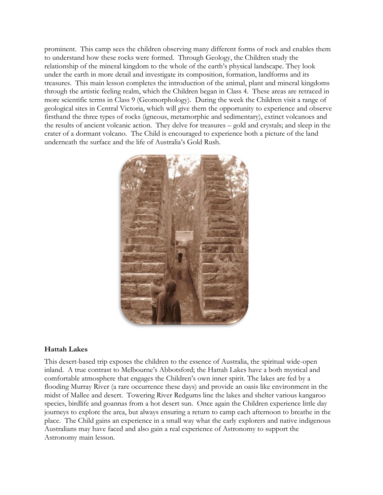prominent. This camp sees the children observing many different forms of rock and enables them to understand how these rocks were formed. Through Geology, the Children study the relationship of the mineral kingdom to the whole of the earth's physical landscape. They look under the earth in more detail and investigate its composition, formation, landforms and its treasures. This main lesson completes the introduction of the animal, plant and mineral kingdoms through the artistic feeling realm, which the Children began in Class 4. These areas are retraced in more scientific terms in Class 9 (Geomorphology). During the week the Children visit a range of geological sites in Central Victoria, which will give them the opportunity to experience and observe firsthand the three types of rocks (igneous, metamorphic and sedimentary), extinct volcanoes and the results of ancient volcanic action. They delve for treasures – gold and crystals; and sleep in the crater of a dormant volcano. The Child is encouraged to experience both a picture of the land underneath the surface and the life of Australia's Gold Rush.



#### **Hattah Lakes**

This desert-based trip exposes the children to the essence of Australia, the spiritual wide-open inland. A true contrast to Melbourne's Abbotsford; the Hattah Lakes have a both mystical and comfortable atmosphere that engages the Children's own inner spirit. The lakes are fed by a flooding Murray River (a rare occurrence these days) and provide an oasis like environment in the midst of Mallee and desert. Towering River Redgums line the lakes and shelter various kangaroo species, birdlife and goannas from a hot desert sun. Once again the Children experience little day journeys to explore the area, but always ensuring a return to camp each afternoon to breathe in the place. The Child gains an experience in a small way what the early explorers and native indigenous Australians may have faced and also gain a real experience of Astronomy to support the Astronomy main lesson.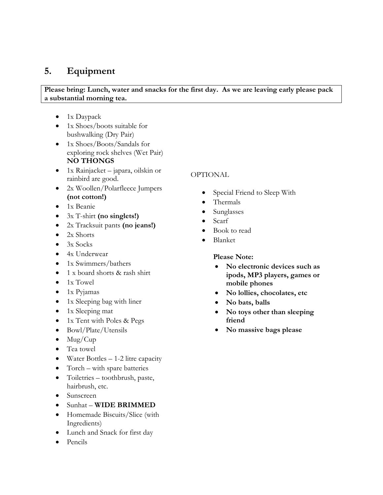# **5. Equipment**

**Please bring: Lunch, water and snacks for the first day. As we are leaving early please pack a substantial morning tea.**

- $\bullet$  1x Daypack
- 1x Shoes/boots suitable for bushwalking (Dry Pair)
- 1x Shoes/Boots/Sandals for exploring rock shelves (Wet Pair) **NO THONGS**
- $\bullet$  1x Rainjacket japara, oilskin or rainbird are good.
- 2x Woollen/Polarfleece Jumpers **(not cotton!)**
- 1x Beanie
- 3x T-shirt **(no singlets!)**
- 2x Tracksuit pants **(no jeans!)**
- $\bullet$  2x Shorts
- $\bullet$  3x Socks
- 4x Underwear
- $\bullet$  1x Swimmers/bathers
- 1 x board shorts & rash shirt
- $\bullet$  1x Towel
- $\bullet$  1x Pyjamas
- 1x Sleeping bag with liner
- $\bullet$  1x Sleeping mat
- 1x Tent with Poles & Pegs
- Bowl/Plate/Utensils
- $\bullet$  Mug/Cup
- Tea towel
- Water Bottles  $-1-2$  litre capacity
- Torch with spare batteries
- Toiletries toothbrush, paste, hairbrush, etc.
- Sunscreen
- Sunhat **WIDE BRIMMED**
- Homemade Biscuits/Slice (with Ingredients)
- Lunch and Snack for first day
- Pencils

#### OPTIONAL

- Special Friend to Sleep With
- Thermals
- Sunglasses
- Scarf
- Book to read
- Blanket

**Please Note:** 

- **No electronic devices such as ipods, MP3 players, games or mobile phones**
- **No lollies, chocolates, etc**
- **No bats, balls**
- **No toys other than sleeping friend**
- **No massive bags please**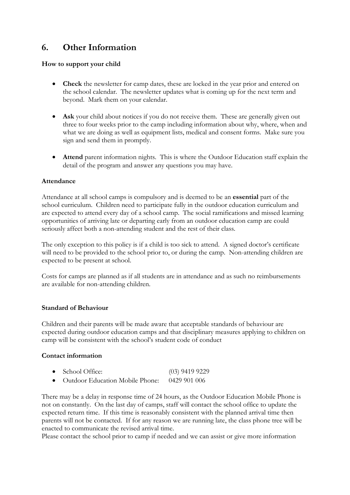# **6. Other Information**

#### **How to support your child**

- **Check** the newsletter for camp dates, these are locked in the year prior and entered on the school calendar. The newsletter updates what is coming up for the next term and beyond. Mark them on your calendar.
- **Ask** your child about notices if you do not receive them. These are generally given out three to four weeks prior to the camp including information about why, where, when and what we are doing as well as equipment lists, medical and consent forms. Make sure you sign and send them in promptly.
- **Attend** parent information nights. This is where the Outdoor Education staff explain the detail of the program and answer any questions you may have.

#### **Attendance**

Attendance at all school camps is compulsory and is deemed to be an **essential** part of the school curriculum. Children need to participate fully in the outdoor education curriculum and are expected to attend every day of a school camp. The social ramifications and missed learning opportunities of arriving late or departing early from an outdoor education camp are could seriously affect both a non-attending student and the rest of their class.

The only exception to this policy is if a child is too sick to attend. A signed doctor's certificate will need to be provided to the school prior to, or during the camp. Non-attending children are expected to be present at school.

Costs for camps are planned as if all students are in attendance and as such no reimbursements are available for non-attending children.

#### **Standard of Behaviour**

Children and their parents will be made aware that acceptable standards of behaviour are expected during outdoor education camps and that disciplinary measures applying to children on camp will be consistent with the school's student code of conduct

#### **Contact information**

| • School Office:                                | $(03)$ 9419 9229 |
|-------------------------------------------------|------------------|
| • Outdoor Education Mobile Phone: $-0429901006$ |                  |

There may be a delay in response time of 24 hours, as the Outdoor Education Mobile Phone is not on constantly. On the last day of camps, staff will contact the school office to update the expected return time. If this time is reasonably consistent with the planned arrival time then parents will not be contacted. If for any reason we are running late, the class phone tree will be enacted to communicate the revised arrival time.

Please contact the school prior to camp if needed and we can assist or give more information